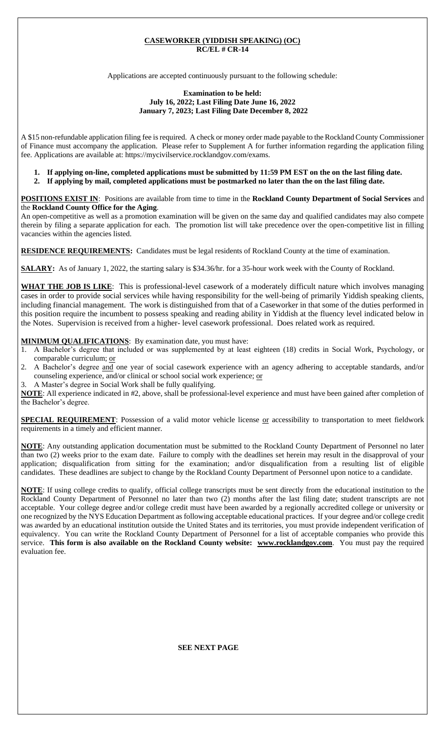### **CASEWORKER (YIDDISH SPEAKING) (OC) RC/EL # CR-14**

Applications are accepted continuously pursuant to the following schedule:

#### **Examination to be held: July 16, 2022; Last Filing Date June 16, 2022 January 7, 2023; Last Filing Date December 8, 2022**

A \$15 non-refundable application filing fee is required. A check or money order made payable to the Rockland County Commissioner of Finance must accompany the application. Please refer to Supplement A for further information regarding the application filing fee. Applications are available at: https://mycivilservice.rocklandgov.com/exams.

**1. If applying on-line, completed applications must be submitted by 11:59 PM EST on the on the last filing date. 2. If applying by mail, completed applications must be postmarked no later than the on the last filing date.**

**POSITIONS EXIST IN**:Positions are available from time to time in the **Rockland County Department of Social Services** and the **Rockland County Office for the Aging**.

An open-competitive as well as a promotion examination will be given on the same day and qualified candidates may also compete therein by filing a separate application for each. The promotion list will take precedence over the open-competitive list in filling vacancies within the agencies listed.

**RESIDENCE REQUIREMENTS:** Candidates must be legal residents of Rockland County at the time of examination.

**SALARY:** As of January 1, 2022, the starting salary is \$34.36/hr. for a 35-hour work week with the County of Rockland.

**WHAT THE JOB IS LIKE**:This is professional-level casework of a moderately difficult nature which involves managing cases in order to provide social services while having responsibility for the well-being of primarily Yiddish speaking clients, including financial management. The work is distinguished from that of a Caseworker in that some of the duties performed in this position require the incumbent to possess speaking and reading ability in Yiddish at the fluency level indicated below in the Notes. Supervision is received from a higher- level casework professional. Does related work as required.

**MINIMUM QUALIFICATIONS**: By examination date, you must have:

- 1. A Bachelor's degree that included or was supplemented by at least eighteen (18) credits in Social Work, Psychology, or comparable curriculum; or
- 2. A Bachelor's degree and one year of social casework experience with an agency adhering to acceptable standards, and/or counseling experience, and/or clinical or school social work experience; or
- 3. A Master's degree in Social Work shall be fully qualifying.

**NOTE**: All experience indicated in #2, above, shall be professional-level experience and must have been gained after completion of the Bachelor's degree.

**SPECIAL REQUIREMENT**: Possession of a valid motor vehicle license or accessibility to transportation to meet fieldwork requirements in a timely and efficient manner.

**NOTE**: Any outstanding application documentation must be submitted to the Rockland County Department of Personnel no later than two (2) weeks prior to the exam date. Failure to comply with the deadlines set herein may result in the disapproval of your application; disqualification from sitting for the examination; and/or disqualification from a resulting list of eligible candidates. These deadlines are subject to change by the Rockland County Department of Personnel upon notice to a candidate.

**NOTE**: If using college credits to qualify, official college transcripts must be sent directly from the educational institution to the Rockland County Department of Personnel no later than two (2) months after the last filing date; student transcripts are not acceptable. Your college degree and/or college credit must have been awarded by a regionally accredited college or university or one recognized by the NYS Education Department as following acceptable educational practices. If your degree and/or college credit was awarded by an educational institution outside the United States and its territories, you must provide independent verification of equivalency. You can write the Rockland County Department of Personnel for a list of acceptable companies who provide this service. **This form is also available on the Rockland County website: www.rocklandgov.com**.You must pay the required evaluation fee.

**SEE NEXT PAGE**